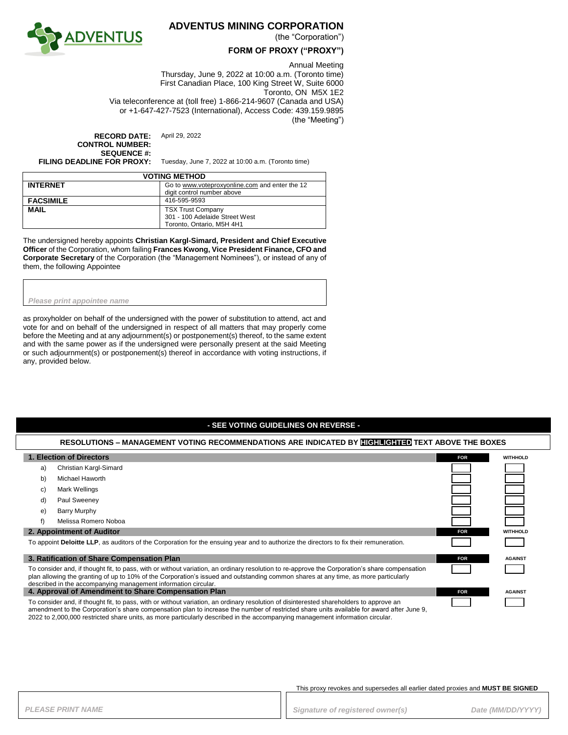

## **ADVENTUS MINING CORPORATION**

(the "Corporation")

### **FORM OF PROXY ("PROXY")**

#### Annual Meeting

Thursday, June 9, 2022 at 10:00 a.m. (Toronto time) First Canadian Place, 100 King Street W, Suite 6000 Toronto, ON M5X 1E2 Via teleconference at (toll free) 1-866-214-9607 (Canada and USA) or +1-647-427-7523 (International), Access Code: 439.159.9895 (the "Meeting")

**RECORD DATE:** April 29, 2022 **CONTROL NUMBER: SEQUENCE #:**<br>FILING DEADLINE FOR PROXY:

Tuesday, June 7, 2022 at 10:00 a.m. (Toronto time)

| <b>VOTING METHOD</b> |                                                |  |
|----------------------|------------------------------------------------|--|
| <b>INTERNET</b>      | Go to www.voteproxyonline.com and enter the 12 |  |
|                      | digit control number above                     |  |
| <b>FACSIMILE</b>     | 416-595-9593                                   |  |
| <b>MAIL</b>          | <b>TSX Trust Company</b>                       |  |
|                      | 301 - 100 Adelaide Street West                 |  |
|                      | Toronto, Ontario, M5H 4H1                      |  |

The undersigned hereby appoints **Christian Kargl-Simard, President and Chief Executive Officer** of the Corporation, whom failing **Frances Kwong, Vice President Finance, CFO and Corporate Secretary** of the Corporation (the "Management Nominees"), or instead of any of them, the following Appointee

*Please print appointee name*

as proxyholder on behalf of the undersigned with the power of substitution to attend, act and vote for and on behalf of the undersigned in respect of all matters that may properly come before the Meeting and at any adjournment(s) or postponement(s) thereof, to the same extent and with the same power as if the undersigned were personally present at the said Meeting or such adjournment(s) or postponement(s) thereof in accordance with voting instructions, if any, provided below.

### **- SEE VOTING GUIDELINES ON REVERSE -**

# **RESOLUTIONS – MANAGEMENT VOTING RECOMMENDATIONS ARE INDICATED BY HIGHLIGHTED TEXT ABOVE THE BOXES**

| 1. Election of Directors                                                                                                                                                                                                                                                                                                                                |                        | <b>FOR</b> | <b>WITHHOLD</b> |
|---------------------------------------------------------------------------------------------------------------------------------------------------------------------------------------------------------------------------------------------------------------------------------------------------------------------------------------------------------|------------------------|------------|-----------------|
| a)                                                                                                                                                                                                                                                                                                                                                      | Christian Kargl-Simard |            |                 |
| b)                                                                                                                                                                                                                                                                                                                                                      | Michael Haworth        |            |                 |
| C)                                                                                                                                                                                                                                                                                                                                                      | Mark Wellings          |            |                 |
| d)                                                                                                                                                                                                                                                                                                                                                      | Paul Sweeney           |            |                 |
| e)                                                                                                                                                                                                                                                                                                                                                      | Barry Murphy           |            |                 |
| f)                                                                                                                                                                                                                                                                                                                                                      | Melissa Romero Noboa   |            |                 |
| 2. Appointment of Auditor                                                                                                                                                                                                                                                                                                                               |                        | <b>FOR</b> | <b>WITHHOLD</b> |
| To appoint Deloitte LLP, as auditors of the Corporation for the ensuing year and to authorize the directors to fix their remuneration.                                                                                                                                                                                                                  |                        |            |                 |
| 3. Ratification of Share Compensation Plan                                                                                                                                                                                                                                                                                                              |                        | <b>FOR</b> | <b>AGAINST</b>  |
| To consider and, if thought fit, to pass, with or without variation, an ordinary resolution to re-approve the Corporation's share compensation<br>plan allowing the granting of up to 10% of the Corporation's issued and outstanding common shares at any time, as more particularly<br>described in the accompanying management information circular. |                        |            |                 |
| 4. Approval of Amendment to Share Compensation Plan                                                                                                                                                                                                                                                                                                     |                        | <b>FOR</b> | <b>AGAINST</b>  |
| To consider and, if thought fit, to pass, with or without variation, an ordinary resolution of disinterested shareholders to approve an<br>amendment to the Corporation's share compensation plan to increase the number of restricted share units available for award after June 9,                                                                    |                        |            |                 |

2022 to 2,000,000 restricted share units, as more particularly described in the accompanying management information circular.

This proxy revokes and supersedes all earlier dated proxies and **MUST BE SIGNED**